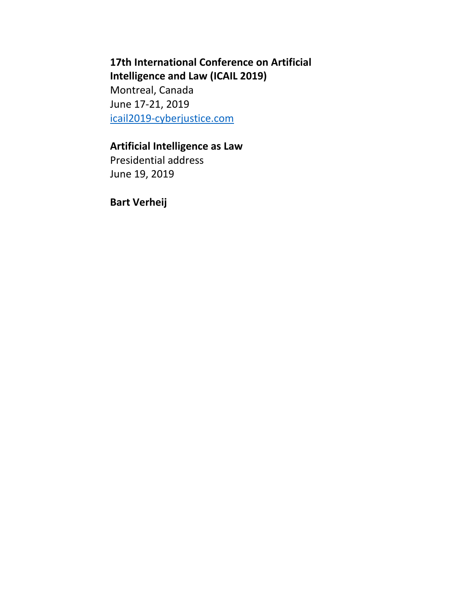# **17th International Conference on Artificial Intelligence and Law (ICAIL 2019)**

Montreal, Canada June 17-21, 2019 [icail2019-cyberjustice.com](https://icail2019-cyberjustice.com/)

# **Artificial Intelligence as Law**

Presidential address June 19, 2019

**Bart Verheij**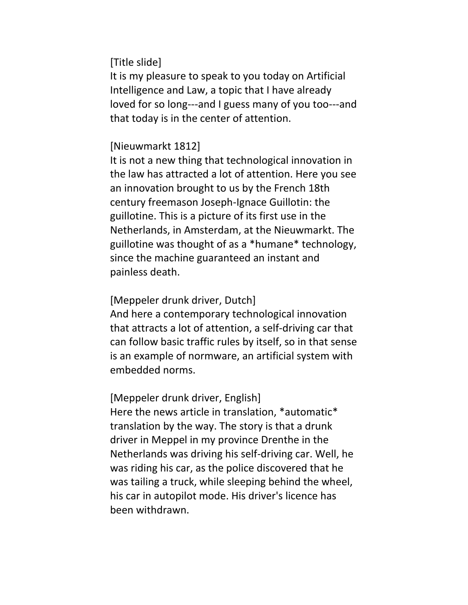[Title slide]

It is my pleasure to speak to you today on Artificial Intelligence and Law, a topic that I have already loved for so long---and I guess many of you too---and that today is in the center of attention.

### [Nieuwmarkt 1812]

It is not a new thing that technological innovation in the law has attracted a lot of attention. Here you see an innovation brought to us by the French 18th century freemason Joseph-Ignace Guillotin: the guillotine. This is a picture of its first use in the Netherlands, in Amsterdam, at the Nieuwmarkt. The guillotine was thought of as a \*humane\* technology, since the machine guaranteed an instant and painless death.

### [Meppeler drunk driver, Dutch]

And here a contemporary technological innovation that attracts a lot of attention, a self-driving car that can follow basic traffic rules by itself, so in that sense is an example of normware, an artificial system with embedded norms.

### [Meppeler drunk driver, English]

Here the news article in translation, \*automatic\* translation by the way. The story is that a drunk driver in Meppel in my province Drenthe in the Netherlands was driving his self-driving car. Well, he was riding his car, as the police discovered that he was tailing a truck, while sleeping behind the wheel, his car in autopilot mode. His driver's licence has been withdrawn.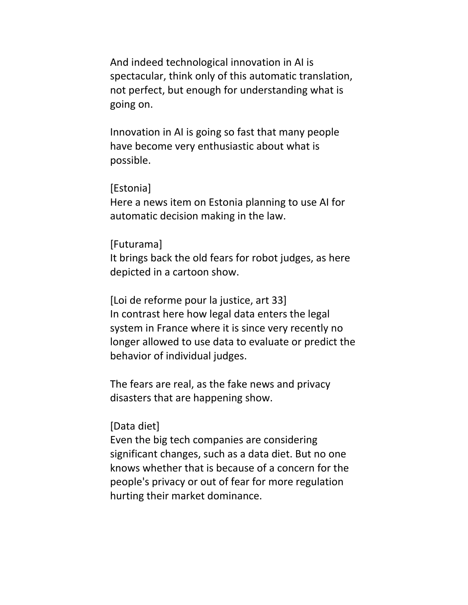And indeed technological innovation in AI is spectacular, think only of this automatic translation, not perfect, but enough for understanding what is going on.

Innovation in AI is going so fast that many people have become very enthusiastic about what is possible.

#### [Estonia]

Here a news item on Estonia planning to use AI for automatic decision making in the law.

#### [Futurama]

It brings back the old fears for robot judges, as here depicted in a cartoon show.

[Loi de reforme pour la justice, art 33] In contrast here how legal data enters the legal system in France where it is since very recently no longer allowed to use data to evaluate or predict the behavior of individual judges.

The fears are real, as the fake news and privacy disasters that are happening show.

#### [Data diet]

Even the big tech companies are considering significant changes, such as a data diet. But no one knows whether that is because of a concern for the people's privacy or out of fear for more regulation hurting their market dominance.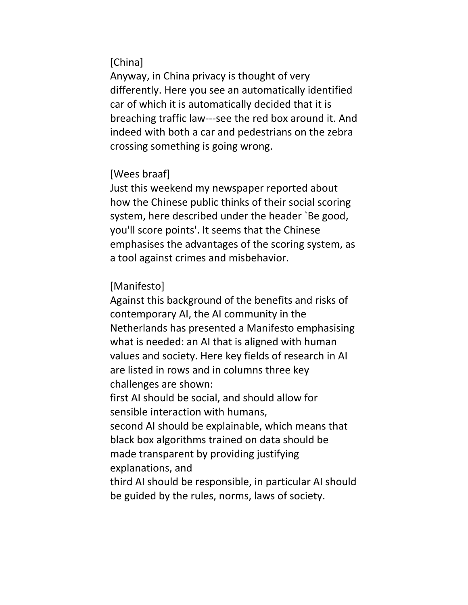## [China]

Anyway, in China privacy is thought of very differently. Here you see an automatically identified car of which it is automatically decided that it is breaching traffic law---see the red box around it. And indeed with both a car and pedestrians on the zebra crossing something is going wrong.

### [Wees braaf]

Just this weekend my newspaper reported about how the Chinese public thinks of their social scoring system, here described under the header `Be good, you'll score points'. It seems that the Chinese emphasises the advantages of the scoring system, as a tool against crimes and misbehavior.

## [Manifesto]

Against this background of the benefits and risks of contemporary AI, the AI community in the Netherlands has presented a Manifesto emphasising what is needed: an AI that is aligned with human values and society. Here key fields of research in AI are listed in rows and in columns three key challenges are shown:

first AI should be social, and should allow for sensible interaction with humans,

second AI should be explainable, which means that black box algorithms trained on data should be made transparent by providing justifying explanations, and

third AI should be responsible, in particular AI should be guided by the rules, norms, laws of society.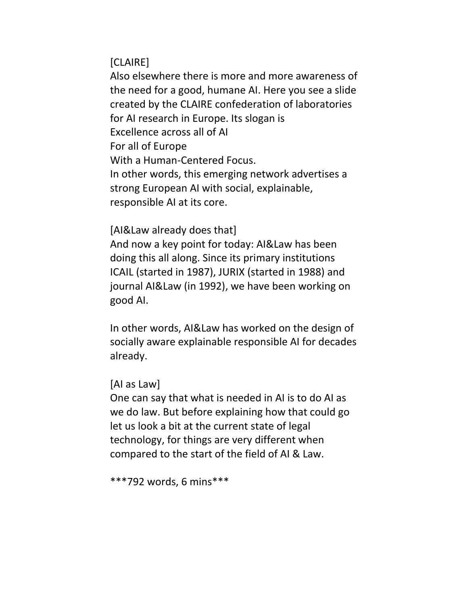[CLAIRE]

Also elsewhere there is more and more awareness of the need for a good, humane AI. Here you see a slide created by the CLAIRE confederation of laboratories for AI research in Europe. Its slogan is Excellence across all of AI For all of Europe With a Human-Centered Focus. In other words, this emerging network advertises a strong European AI with social, explainable, responsible AI at its core.

[AI&Law already does that]

And now a key point for today: AI&Law has been doing this all along. Since its primary institutions ICAIL (started in 1987), JURIX (started in 1988) and journal AI&Law (in 1992), we have been working on good AI.

In other words, AI&Law has worked on the design of socially aware explainable responsible AI for decades already.

[AI as Law]

One can say that what is needed in AI is to do AI as we do law. But before explaining how that could go let us look a bit at the current state of legal technology, for things are very different when compared to the start of the field of AI & Law.

\*\*\*792 words, 6 mins\*\*\*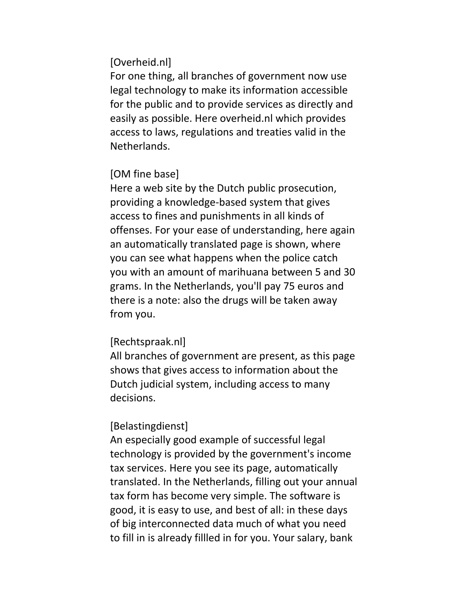### [Overheid.nl]

For one thing, all branches of government now use legal technology to make its information accessible for the public and to provide services as directly and easily as possible. Here overheid.nl which provides access to laws, regulations and treaties valid in the Netherlands.

### [OM fine base]

Here a web site by the Dutch public prosecution, providing a knowledge-based system that gives access to fines and punishments in all kinds of offenses. For your ease of understanding, here again an automatically translated page is shown, where you can see what happens when the police catch you with an amount of marihuana between 5 and 30 grams. In the Netherlands, you'll pay 75 euros and there is a note: also the drugs will be taken away from you.

### [Rechtspraak.nl]

All branches of government are present, as this page shows that gives access to information about the Dutch judicial system, including access to many decisions.

### [Belastingdienst]

An especially good example of successful legal technology is provided by the government's income tax services. Here you see its page, automatically translated. In the Netherlands, filling out your annual tax form has become very simple. The software is good, it is easy to use, and best of all: in these days of big interconnected data much of what you need to fill in is already fillled in for you. Your salary, bank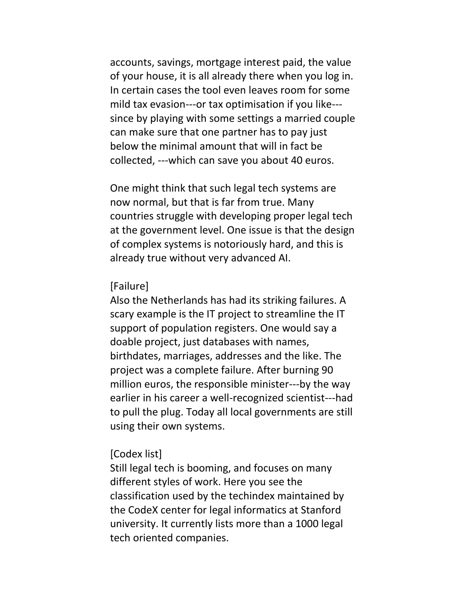accounts, savings, mortgage interest paid, the value of your house, it is all already there when you log in. In certain cases the tool even leaves room for some mild tax evasion---or tax optimisation if you like-- since by playing with some settings a married couple can make sure that one partner has to pay just below the minimal amount that will in fact be collected, ---which can save you about 40 euros.

One might think that such legal tech systems are now normal, but that is far from true. Many countries struggle with developing proper legal tech at the government level. One issue is that the design of complex systems is notoriously hard, and this is already true without very advanced AI.

#### [Failure]

Also the Netherlands has had its striking failures. A scary example is the IT project to streamline the IT support of population registers. One would say a doable project, just databases with names, birthdates, marriages, addresses and the like. The project was a complete failure. After burning 90 million euros, the responsible minister---by the way earlier in his career a well-recognized scientist---had to pull the plug. Today all local governments are still using their own systems.

#### [Codex list]

Still legal tech is booming, and focuses on many different styles of work. Here you see the classification used by the techindex maintained by the CodeX center for legal informatics at Stanford university. It currently lists more than a 1000 legal tech oriented companies.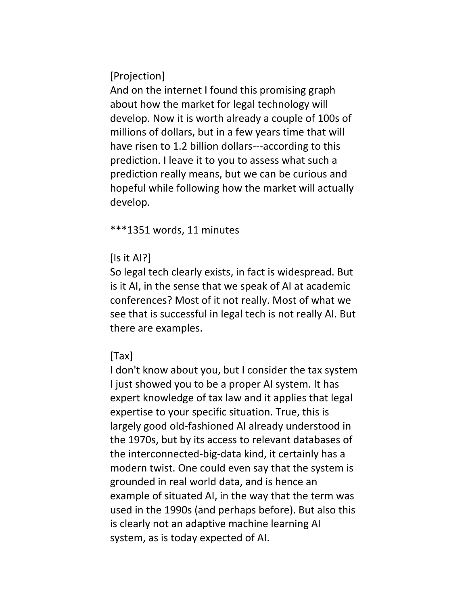[Projection]

And on the internet I found this promising graph about how the market for legal technology will develop. Now it is worth already a couple of 100s of millions of dollars, but in a few years time that will have risen to 1.2 billion dollars---according to this prediction. I leave it to you to assess what such a prediction really means, but we can be curious and hopeful while following how the market will actually develop.

\*\*\*1351 words, 11 minutes

# [Is it AI?]

So legal tech clearly exists, in fact is widespread. But is it AI, in the sense that we speak of AI at academic conferences? Most of it not really. Most of what we see that is successful in legal tech is not really AI. But there are examples.

# [Tax]

I don't know about you, but I consider the tax system I just showed you to be a proper AI system. It has expert knowledge of tax law and it applies that legal expertise to your specific situation. True, this is largely good old-fashioned AI already understood in the 1970s, but by its access to relevant databases of the interconnected-big-data kind, it certainly has a modern twist. One could even say that the system is grounded in real world data, and is hence an example of situated AI, in the way that the term was used in the 1990s (and perhaps before). But also this is clearly not an adaptive machine learning AI system, as is today expected of AI.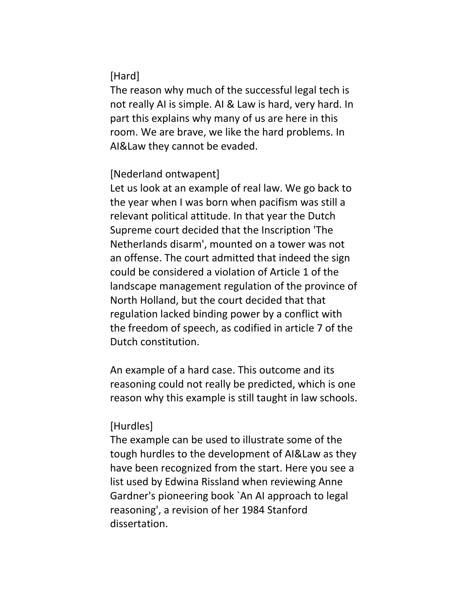# [Hard]

The reason why much of the successful legal tech is not really AI is simple. AI & Law is hard, very hard. In part this explains why many of us are here in this room. We are brave, we like the hard problems. In AI&Law they cannot be evaded.

## [Nederland ontwapent]

Let us look at an example of real law. We go back to the year when I was born when pacifism was still a relevant political attitude. In that year the Dutch Supreme court decided that the Inscription 'The Netherlands disarm', mounted on a tower was not an offense. The court admitted that indeed the sign could be considered a violation of Article 1 of the landscape management regulation of the province of North Holland, but the court decided that that regulation lacked binding power by a conflict with the freedom of speech, as codified in article 7 of the Dutch constitution.

An example of a hard case. This outcome and its reasoning could not really be predicted, which is one reason why this example is still taught in law schools.

## [Hurdles]

The example can be used to illustrate some of the tough hurdles to the development of AI&Law as they have been recognized from the start. Here you see a list used by Edwina Rissland when reviewing Anne Gardner's pioneering book `An AI approach to legal reasoning', a revision of her 1984 Stanford dissertation.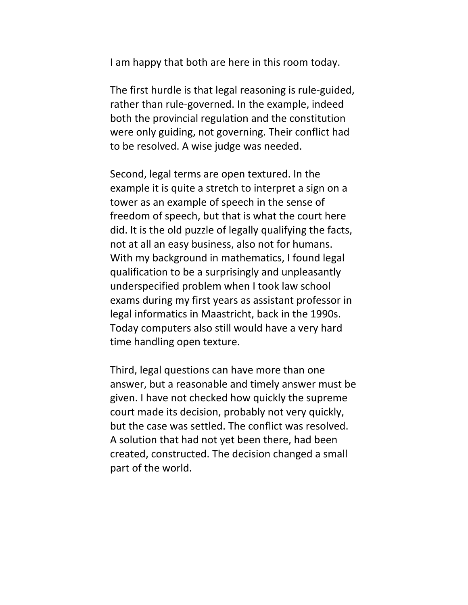I am happy that both are here in this room today.

The first hurdle is that legal reasoning is rule-guided, rather than rule-governed. In the example, indeed both the provincial regulation and the constitution were only guiding, not governing. Their conflict had to be resolved. A wise judge was needed.

Second, legal terms are open textured. In the example it is quite a stretch to interpret a sign on a tower as an example of speech in the sense of freedom of speech, but that is what the court here did. It is the old puzzle of legally qualifying the facts, not at all an easy business, also not for humans. With my background in mathematics, I found legal qualification to be a surprisingly and unpleasantly underspecified problem when I took law school exams during my first years as assistant professor in legal informatics in Maastricht, back in the 1990s. Today computers also still would have a very hard time handling open texture.

Third, legal questions can have more than one answer, but a reasonable and timely answer must be given. I have not checked how quickly the supreme court made its decision, probably not very quickly, but the case was settled. The conflict was resolved. A solution that had not yet been there, had been created, constructed. The decision changed a small part of the world.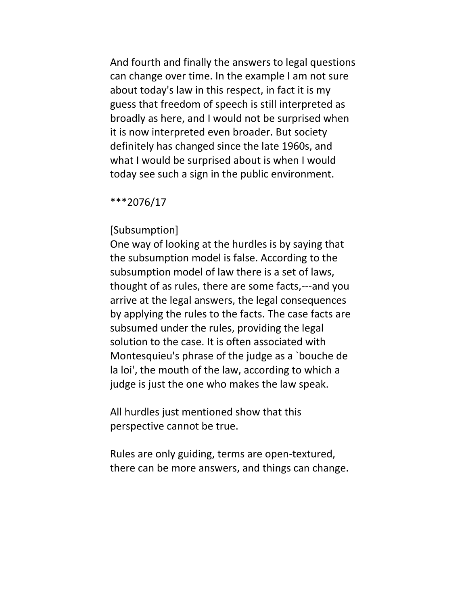And fourth and finally the answers to legal questions can change over time. In the example I am not sure about today's law in this respect, in fact it is my guess that freedom of speech is still interpreted as broadly as here, and I would not be surprised when it is now interpreted even broader. But society definitely has changed since the late 1960s, and what I would be surprised about is when I would today see such a sign in the public environment.

#### \*\*\*2076/17

#### [Subsumption]

One way of looking at the hurdles is by saying that the subsumption model is false. According to the subsumption model of law there is a set of laws, thought of as rules, there are some facts,---and you arrive at the legal answers, the legal consequences by applying the rules to the facts. The case facts are subsumed under the rules, providing the legal solution to the case. It is often associated with Montesquieu's phrase of the judge as a `bouche de la loi', the mouth of the law, according to which a judge is just the one who makes the law speak.

All hurdles just mentioned show that this perspective cannot be true.

Rules are only guiding, terms are open-textured, there can be more answers, and things can change.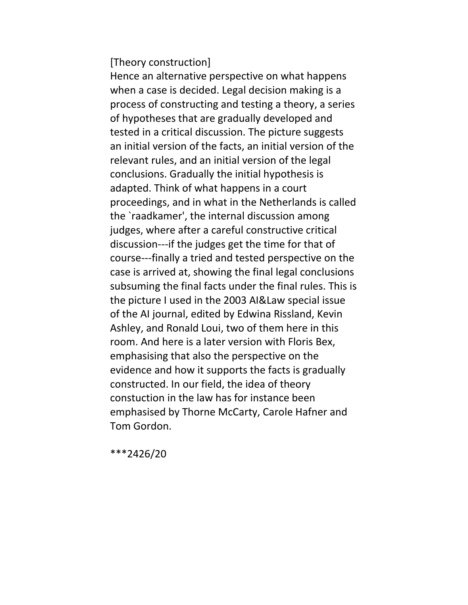[Theory construction]

Hence an alternative perspective on what happens when a case is decided. Legal decision making is a process of constructing and testing a theory, a series of hypotheses that are gradually developed and tested in a critical discussion. The picture suggests an initial version of the facts, an initial version of the relevant rules, and an initial version of the legal conclusions. Gradually the initial hypothesis is adapted. Think of what happens in a court proceedings, and in what in the Netherlands is called the `raadkamer', the internal discussion among judges, where after a careful constructive critical discussion---if the judges get the time for that of course---finally a tried and tested perspective on the case is arrived at, showing the final legal conclusions subsuming the final facts under the final rules. This is the picture I used in the 2003 AI&Law special issue of the AI journal, edited by Edwina Rissland, Kevin Ashley, and Ronald Loui, two of them here in this room. And here is a later version with Floris Bex, emphasising that also the perspective on the evidence and how it supports the facts is gradually constructed. In our field, the idea of theory constuction in the law has for instance been emphasised by Thorne McCarty, Carole Hafner and Tom Gordon.

\*\*\*2426/20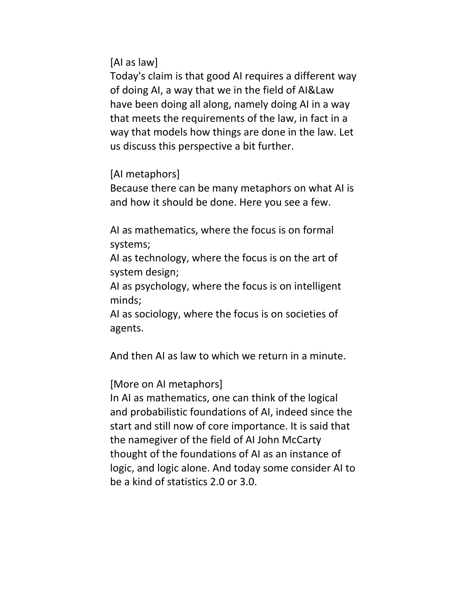[AI as law]

Today's claim is that good AI requires a different way of doing AI, a way that we in the field of AI&Law have been doing all along, namely doing AI in a way that meets the requirements of the law, in fact in a way that models how things are done in the law. Let us discuss this perspective a bit further.

[AI metaphors]

Because there can be many metaphors on what AI is and how it should be done. Here you see a few.

AI as mathematics, where the focus is on formal systems;

AI as technology, where the focus is on the art of system design;

AI as psychology, where the focus is on intelligent minds;

AI as sociology, where the focus is on societies of agents.

And then AI as law to which we return in a minute.

[More on AI metaphors]

In AI as mathematics, one can think of the logical and probabilistic foundations of AI, indeed since the start and still now of core importance. It is said that the namegiver of the field of AI John McCarty thought of the foundations of AI as an instance of logic, and logic alone. And today some consider AI to be a kind of statistics 2.0 or 3.0.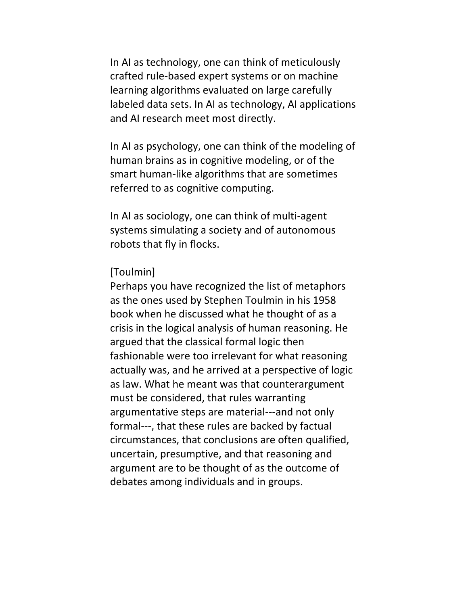In AI as technology, one can think of meticulously crafted rule-based expert systems or on machine learning algorithms evaluated on large carefully labeled data sets. In AI as technology, AI applications and AI research meet most directly.

In AI as psychology, one can think of the modeling of human brains as in cognitive modeling, or of the smart human-like algorithms that are sometimes referred to as cognitive computing.

In AI as sociology, one can think of multi-agent systems simulating a society and of autonomous robots that fly in flocks.

### [Toulmin]

Perhaps you have recognized the list of metaphors as the ones used by Stephen Toulmin in his 1958 book when he discussed what he thought of as a crisis in the logical analysis of human reasoning. He argued that the classical formal logic then fashionable were too irrelevant for what reasoning actually was, and he arrived at a perspective of logic as law. What he meant was that counterargument must be considered, that rules warranting argumentative steps are material---and not only formal---, that these rules are backed by factual circumstances, that conclusions are often qualified, uncertain, presumptive, and that reasoning and argument are to be thought of as the outcome of debates among individuals and in groups.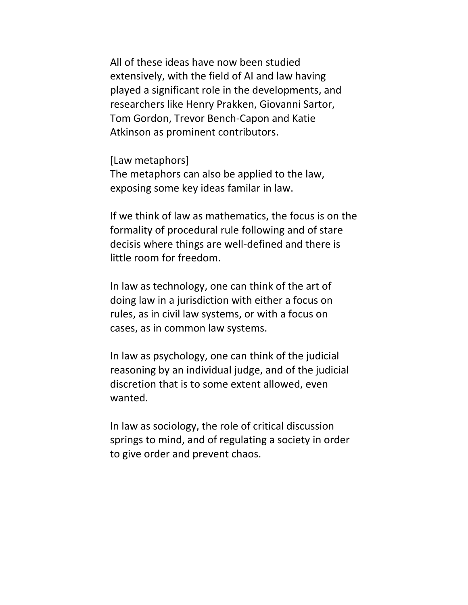All of these ideas have now been studied extensively, with the field of AI and law having played a significant role in the developments, and researchers like Henry Prakken, Giovanni Sartor, Tom Gordon, Trevor Bench-Capon and Katie Atkinson as prominent contributors.

[Law metaphors] The metaphors can also be applied to the law, exposing some key ideas familar in law.

If we think of law as mathematics, the focus is on the formality of procedural rule following and of stare decisis where things are well-defined and there is little room for freedom.

In law as technology, one can think of the art of doing law in a jurisdiction with either a focus on rules, as in civil law systems, or with a focus on cases, as in common law systems.

In law as psychology, one can think of the judicial reasoning by an individual judge, and of the judicial discretion that is to some extent allowed, even wanted.

In law as sociology, the role of critical discussion springs to mind, and of regulating a society in order to give order and prevent chaos.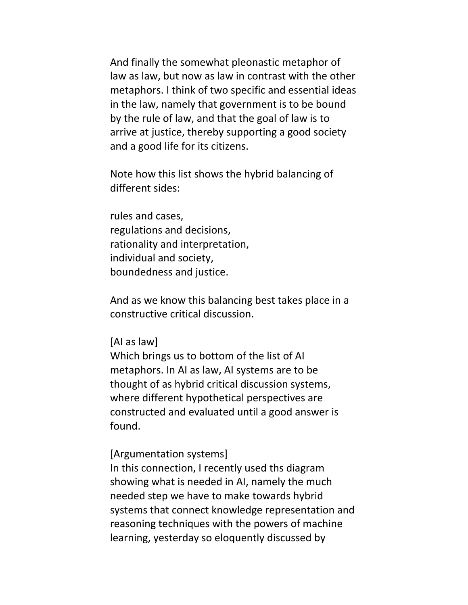And finally the somewhat pleonastic metaphor of law as law, but now as law in contrast with the other metaphors. I think of two specific and essential ideas in the law, namely that government is to be bound by the rule of law, and that the goal of law is to arrive at justice, thereby supporting a good society and a good life for its citizens.

Note how this list shows the hybrid balancing of different sides:

rules and cases, regulations and decisions, rationality and interpretation, individual and society, boundedness and justice.

And as we know this balancing best takes place in a constructive critical discussion.

[AI as law]

Which brings us to bottom of the list of AI metaphors. In AI as law, AI systems are to be thought of as hybrid critical discussion systems, where different hypothetical perspectives are constructed and evaluated until a good answer is found.

[Argumentation systems]

In this connection, I recently used ths diagram showing what is needed in AI, namely the much needed step we have to make towards hybrid systems that connect knowledge representation and reasoning techniques with the powers of machine learning, yesterday so eloquently discussed by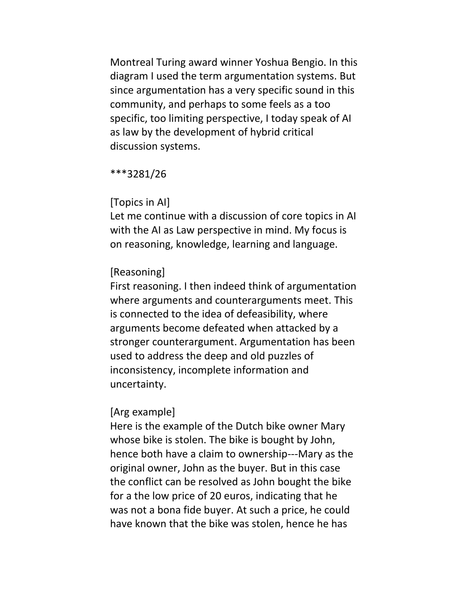Montreal Turing award winner Yoshua Bengio. In this diagram I used the term argumentation systems. But since argumentation has a very specific sound in this community, and perhaps to some feels as a too specific, too limiting perspective, I today speak of AI as law by the development of hybrid critical discussion systems.

\*\*\*3281/26

### [Topics in AI]

Let me continue with a discussion of core topics in AI with the AI as Law perspective in mind. My focus is on reasoning, knowledge, learning and language.

### [Reasoning]

First reasoning. I then indeed think of argumentation where arguments and counterarguments meet. This is connected to the idea of defeasibility, where arguments become defeated when attacked by a stronger counterargument. Argumentation has been used to address the deep and old puzzles of inconsistency, incomplete information and uncertainty.

### [Arg example]

Here is the example of the Dutch bike owner Mary whose bike is stolen. The bike is bought by John, hence both have a claim to ownership---Mary as the original owner, John as the buyer. But in this case the conflict can be resolved as John bought the bike for a the low price of 20 euros, indicating that he was not a bona fide buyer. At such a price, he could have known that the bike was stolen, hence he has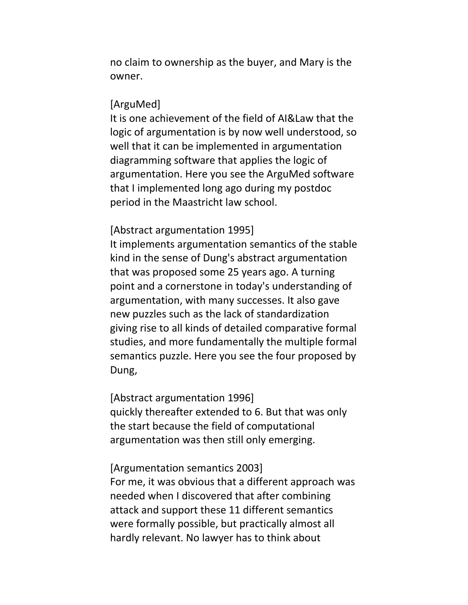no claim to ownership as the buyer, and Mary is the owner.

#### [ArguMed]

It is one achievement of the field of AI&Law that the logic of argumentation is by now well understood, so well that it can be implemented in argumentation diagramming software that applies the logic of argumentation. Here you see the ArguMed software that I implemented long ago during my postdoc period in the Maastricht law school.

#### [Abstract argumentation 1995]

It implements argumentation semantics of the stable kind in the sense of Dung's abstract argumentation that was proposed some 25 years ago. A turning point and a cornerstone in today's understanding of argumentation, with many successes. It also gave new puzzles such as the lack of standardization giving rise to all kinds of detailed comparative formal studies, and more fundamentally the multiple formal semantics puzzle. Here you see the four proposed by Dung,

#### [Abstract argumentation 1996]

quickly thereafter extended to 6. But that was only the start because the field of computational argumentation was then still only emerging.

#### [Argumentation semantics 2003]

For me, it was obvious that a different approach was needed when I discovered that after combining attack and support these 11 different semantics were formally possible, but practically almost all hardly relevant. No lawyer has to think about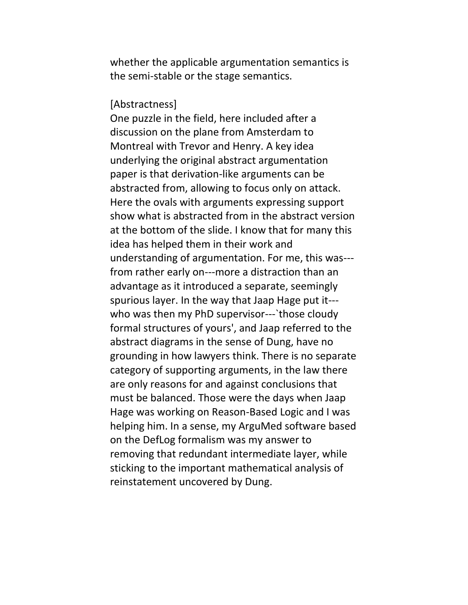whether the applicable argumentation semantics is the semi-stable or the stage semantics.

[Abstractness]

One puzzle in the field, here included after a discussion on the plane from Amsterdam to Montreal with Trevor and Henry. A key idea underlying the original abstract argumentation paper is that derivation-like arguments can be abstracted from, allowing to focus only on attack. Here the ovals with arguments expressing support show what is abstracted from in the abstract version at the bottom of the slide. I know that for many this idea has helped them in their work and understanding of argumentation. For me, this was-- from rather early on---more a distraction than an advantage as it introduced a separate, seemingly spurious layer. In the way that Jaap Hage put it-- who was then my PhD supervisor--- those cloudy formal structures of yours', and Jaap referred to the abstract diagrams in the sense of Dung, have no grounding in how lawyers think. There is no separate category of supporting arguments, in the law there are only reasons for and against conclusions that must be balanced. Those were the days when Jaap Hage was working on Reason-Based Logic and I was helping him. In a sense, my ArguMed software based on the DefLog formalism was my answer to removing that redundant intermediate layer, while sticking to the important mathematical analysis of reinstatement uncovered by Dung.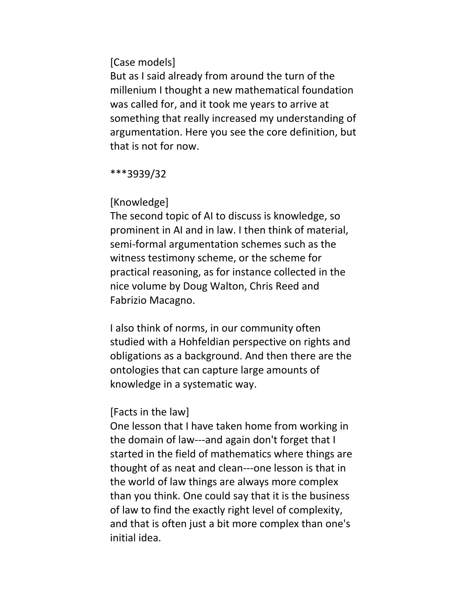### [Case models]

But as I said already from around the turn of the millenium I thought a new mathematical foundation was called for, and it took me years to arrive at something that really increased my understanding of argumentation. Here you see the core definition, but that is not for now.

\*\*\*3939/32

### [Knowledge]

The second topic of AI to discuss is knowledge, so prominent in AI and in law. I then think of material, semi-formal argumentation schemes such as the witness testimony scheme, or the scheme for practical reasoning, as for instance collected in the nice volume by Doug Walton, Chris Reed and Fabrizio Macagno.

I also think of norms, in our community often studied with a Hohfeldian perspective on rights and obligations as a background. And then there are the ontologies that can capture large amounts of knowledge in a systematic way.

## [Facts in the law]

One lesson that I have taken home from working in the domain of law---and again don't forget that I started in the field of mathematics where things are thought of as neat and clean---one lesson is that in the world of law things are always more complex than you think. One could say that it is the business of law to find the exactly right level of complexity, and that is often just a bit more complex than one's initial idea.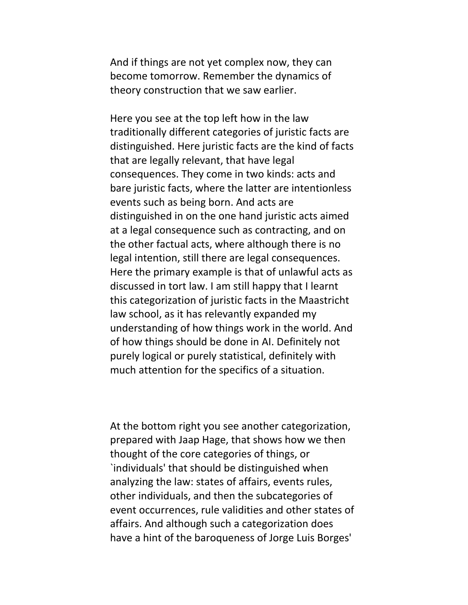And if things are not yet complex now, they can become tomorrow. Remember the dynamics of theory construction that we saw earlier.

Here you see at the top left how in the law traditionally different categories of juristic facts are distinguished. Here juristic facts are the kind of facts that are legally relevant, that have legal consequences. They come in two kinds: acts and bare juristic facts, where the latter are intentionless events such as being born. And acts are distinguished in on the one hand juristic acts aimed at a legal consequence such as contracting, and on the other factual acts, where although there is no legal intention, still there are legal consequences. Here the primary example is that of unlawful acts as discussed in tort law. I am still happy that I learnt this categorization of juristic facts in the Maastricht law school, as it has relevantly expanded my understanding of how things work in the world. And of how things should be done in AI. Definitely not purely logical or purely statistical, definitely with much attention for the specifics of a situation.

At the bottom right you see another categorization, prepared with Jaap Hage, that shows how we then thought of the core categories of things, or `individuals' that should be distinguished when analyzing the law: states of affairs, events rules, other individuals, and then the subcategories of event occurrences, rule validities and other states of affairs. And although such a categorization does have a hint of the baroqueness of Jorge Luis Borges'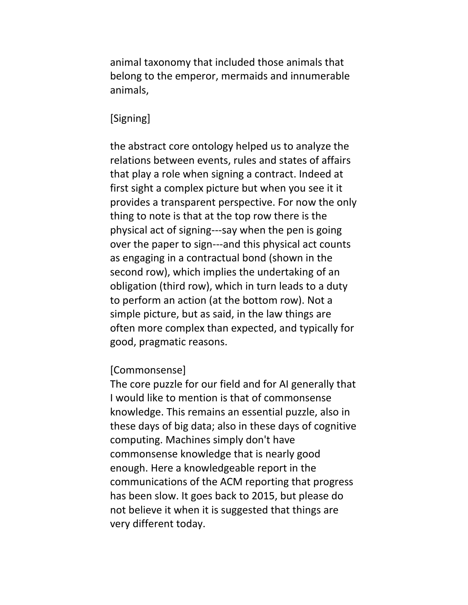animal taxonomy that included those animals that belong to the emperor, mermaids and innumerable animals,

### [Signing]

the abstract core ontology helped us to analyze the relations between events, rules and states of affairs that play a role when signing a contract. Indeed at first sight a complex picture but when you see it it provides a transparent perspective. For now the only thing to note is that at the top row there is the physical act of signing---say when the pen is going over the paper to sign---and this physical act counts as engaging in a contractual bond (shown in the second row), which implies the undertaking of an obligation (third row), which in turn leads to a duty to perform an action (at the bottom row). Not a simple picture, but as said, in the law things are often more complex than expected, and typically for good, pragmatic reasons.

#### [Commonsense]

The core puzzle for our field and for AI generally that I would like to mention is that of commonsense knowledge. This remains an essential puzzle, also in these days of big data; also in these days of cognitive computing. Machines simply don't have commonsense knowledge that is nearly good enough. Here a knowledgeable report in the communications of the ACM reporting that progress has been slow. It goes back to 2015, but please do not believe it when it is suggested that things are very different today.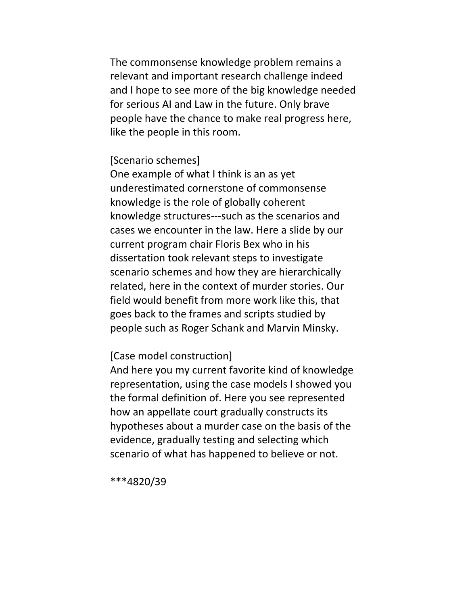The commonsense knowledge problem remains a relevant and important research challenge indeed and I hope to see more of the big knowledge needed for serious AI and Law in the future. Only brave people have the chance to make real progress here, like the people in this room.

#### [Scenario schemes]

One example of what I think is an as yet underestimated cornerstone of commonsense knowledge is the role of globally coherent knowledge structures---such as the scenarios and cases we encounter in the law. Here a slide by our current program chair Floris Bex who in his dissertation took relevant steps to investigate scenario schemes and how they are hierarchically related, here in the context of murder stories. Our field would benefit from more work like this, that goes back to the frames and scripts studied by people such as Roger Schank and Marvin Minsky.

### [Case model construction]

And here you my current favorite kind of knowledge representation, using the case models I showed you the formal definition of. Here you see represented how an appellate court gradually constructs its hypotheses about a murder case on the basis of the evidence, gradually testing and selecting which scenario of what has happened to believe or not.

\*\*\*4820/39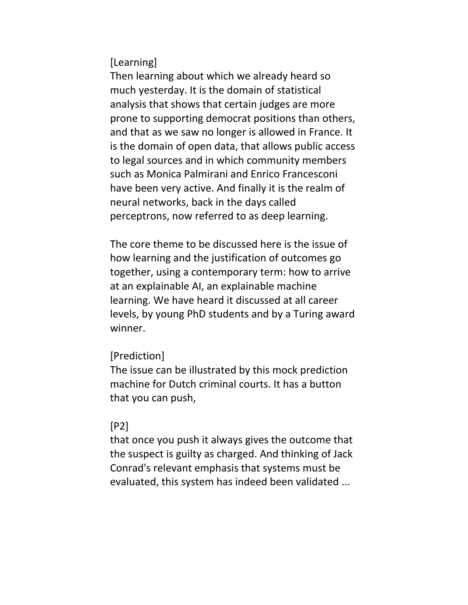[Learning]

Then learning about which we already heard so much yesterday. It is the domain of statistical analysis that shows that certain judges are more prone to supporting democrat positions than others, and that as we saw no longer is allowed in France. It is the domain of open data, that allows public access to legal sources and in which community members such as Monica Palmirani and Enrico Francesconi have been very active. And finally it is the realm of neural networks, back in the days called perceptrons, now referred to as deep learning.

The core theme to be discussed here is the issue of how learning and the justification of outcomes go together, using a contemporary term: how to arrive at an explainable AI, an explainable machine learning. We have heard it discussed at all career levels, by young PhD students and by a Turing award winner.

## [Prediction]

The issue can be illustrated by this mock prediction machine for Dutch criminal courts. It has a button that you can push,

## [P2]

that once you push it always gives the outcome that the suspect is guilty as charged. And thinking of Jack Conrad's relevant emphasis that systems must be evaluated, this system has indeed been validated ...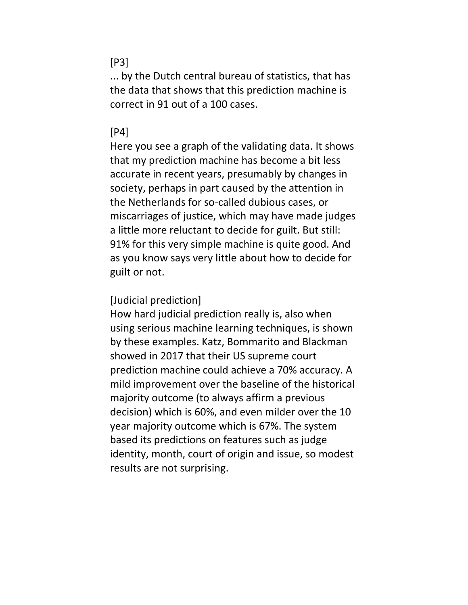### [P3]

... by the Dutch central bureau of statistics, that has the data that shows that this prediction machine is correct in 91 out of a 100 cases.

### [P4]

Here you see a graph of the validating data. It shows that my prediction machine has become a bit less accurate in recent years, presumably by changes in society, perhaps in part caused by the attention in the Netherlands for so-called dubious cases, or miscarriages of justice, which may have made judges a little more reluctant to decide for guilt. But still: 91% for this very simple machine is quite good. And as you know says very little about how to decide for guilt or not.

### [Judicial prediction]

How hard judicial prediction really is, also when using serious machine learning techniques, is shown by these examples. Katz, Bommarito and Blackman showed in 2017 that their US supreme court prediction machine could achieve a 70% accuracy. A mild improvement over the baseline of the historical majority outcome (to always affirm a previous decision) which is 60%, and even milder over the 10 year majority outcome which is 67%. The system based its predictions on features such as judge identity, month, court of origin and issue, so modest results are not surprising.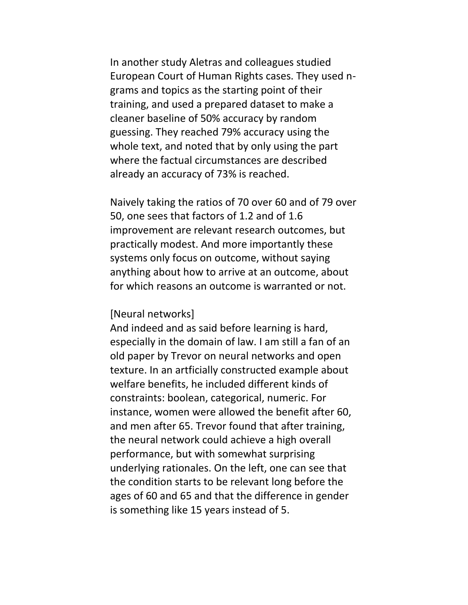In another study Aletras and colleagues studied European Court of Human Rights cases. They used ngrams and topics as the starting point of their training, and used a prepared dataset to make a cleaner baseline of 50% accuracy by random guessing. They reached 79% accuracy using the whole text, and noted that by only using the part where the factual circumstances are described already an accuracy of 73% is reached.

Naively taking the ratios of 70 over 60 and of 79 over 50, one sees that factors of 1.2 and of 1.6 improvement are relevant research outcomes, but practically modest. And more importantly these systems only focus on outcome, without saying anything about how to arrive at an outcome, about for which reasons an outcome is warranted or not.

#### [Neural networks]

And indeed and as said before learning is hard, especially in the domain of law. I am still a fan of an old paper by Trevor on neural networks and open texture. In an artficially constructed example about welfare benefits, he included different kinds of constraints: boolean, categorical, numeric. For instance, women were allowed the benefit after 60, and men after 65. Trevor found that after training, the neural network could achieve a high overall performance, but with somewhat surprising underlying rationales. On the left, one can see that the condition starts to be relevant long before the ages of 60 and 65 and that the difference in gender is something like 15 years instead of 5.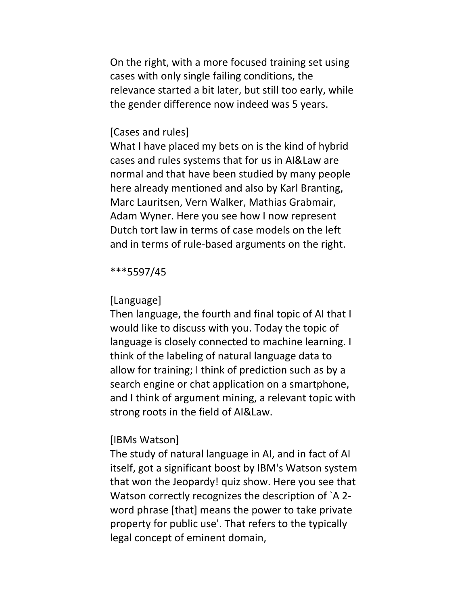On the right, with a more focused training set using cases with only single failing conditions, the relevance started a bit later, but still too early, while the gender difference now indeed was 5 years.

#### [Cases and rules]

What I have placed my bets on is the kind of hybrid cases and rules systems that for us in AI&Law are normal and that have been studied by many people here already mentioned and also by Karl Branting, Marc Lauritsen, Vern Walker, Mathias Grabmair, Adam Wyner. Here you see how I now represent Dutch tort law in terms of case models on the left and in terms of rule-based arguments on the right.

#### \*\*\*5597/45

#### [Language]

Then language, the fourth and final topic of AI that I would like to discuss with you. Today the topic of language is closely connected to machine learning. I think of the labeling of natural language data to allow for training; I think of prediction such as by a search engine or chat application on a smartphone, and I think of argument mining, a relevant topic with strong roots in the field of AI&Law.

#### [IBMs Watson]

The study of natural language in AI, and in fact of AI itself, got a significant boost by IBM's Watson system that won the Jeopardy! quiz show. Here you see that Watson correctly recognizes the description of `A 2 word phrase [that] means the power to take private property for public use'. That refers to the typically legal concept of eminent domain,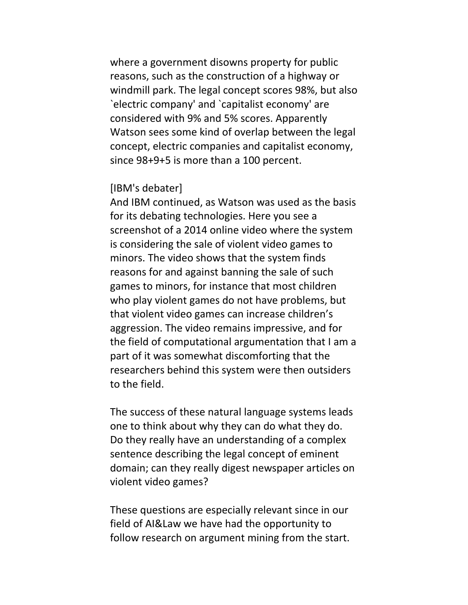where a government disowns property for public reasons, such as the construction of a highway or windmill park. The legal concept scores 98%, but also `electric company' and `capitalist economy' are considered with 9% and 5% scores. Apparently Watson sees some kind of overlap between the legal concept, electric companies and capitalist economy, since 98+9+5 is more than a 100 percent.

### [IBM's debater]

And IBM continued, as Watson was used as the basis for its debating technologies. Here you see a screenshot of a 2014 online video where the system is considering the sale of violent video games to minors. The video shows that the system finds reasons for and against banning the sale of such games to minors, for instance that most children who play violent games do not have problems, but that violent video games can increase children's aggression. The video remains impressive, and for the field of computational argumentation that I am a part of it was somewhat discomforting that the researchers behind this system were then outsiders to the field.

The success of these natural language systems leads one to think about why they can do what they do. Do they really have an understanding of a complex sentence describing the legal concept of eminent domain; can they really digest newspaper articles on violent video games?

These questions are especially relevant since in our field of AI&Law we have had the opportunity to follow research on argument mining from the start.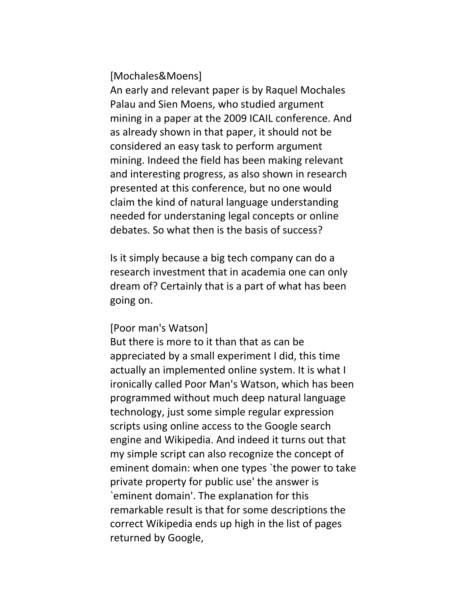[Mochales&Moens]

An early and relevant paper is by Raquel Mochales Palau and Sien Moens, who studied argument mining in a paper at the 2009 ICAIL conference. And as already shown in that paper, it should not be considered an easy task to perform argument mining. Indeed the field has been making relevant and interesting progress, as also shown in research presented at this conference, but no one would claim the kind of natural language understanding needed for understaning legal concepts or online debates. So what then is the basis of success?

Is it simply because a big tech company can do a research investment that in academia one can only dream of? Certainly that is a part of what has been going on.

#### [Poor man's Watson]

But there is more to it than that as can be appreciated by a small experiment I did, this time actually an implemented online system. It is what I ironically called Poor Man's Watson, which has been programmed without much deep natural language technology, just some simple regular expression scripts using online access to the Google search engine and Wikipedia. And indeed it turns out that my simple script can also recognize the concept of eminent domain: when one types `the power to take private property for public use' the answer is `eminent domain'. The explanation for this remarkable result is that for some descriptions the correct Wikipedia ends up high in the list of pages returned by Google,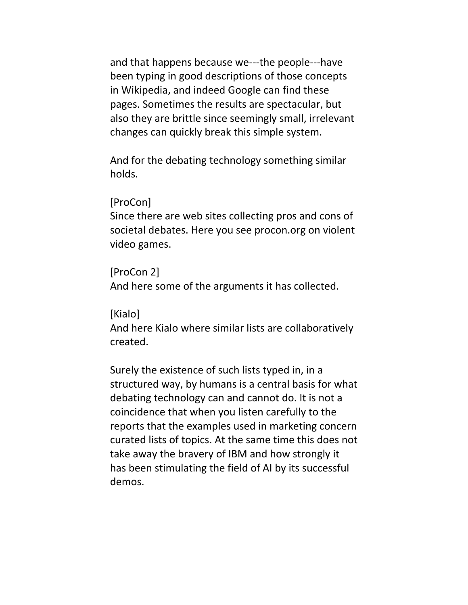and that happens because we---the people---have been typing in good descriptions of those concepts in Wikipedia, and indeed Google can find these pages. Sometimes the results are spectacular, but also they are brittle since seemingly small, irrelevant changes can quickly break this simple system.

And for the debating technology something similar holds.

### [ProCon]

Since there are web sites collecting pros and cons of societal debates. Here you see procon.org on violent video games.

### [ProCon 2]

And here some of the arguments it has collected.

### [Kialo]

And here Kialo where similar lists are collaboratively created.

Surely the existence of such lists typed in, in a structured way, by humans is a central basis for what debating technology can and cannot do. It is not a coincidence that when you listen carefully to the reports that the examples used in marketing concern curated lists of topics. At the same time this does not take away the bravery of IBM and how strongly it has been stimulating the field of AI by its successful demos.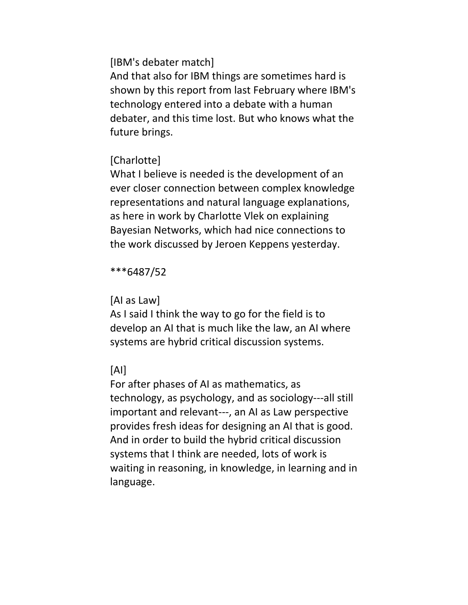[IBM's debater match]

And that also for IBM things are sometimes hard is shown by this report from last February where IBM's technology entered into a debate with a human debater, and this time lost. But who knows what the future brings.

# [Charlotte]

What I believe is needed is the development of an ever closer connection between complex knowledge representations and natural language explanations, as here in work by Charlotte Vlek on explaining Bayesian Networks, which had nice connections to the work discussed by Jeroen Keppens yesterday.

\*\*\*6487/52

# [AI as Law]

As I said I think the way to go for the field is to develop an AI that is much like the law, an AI where systems are hybrid critical discussion systems.

# [AI]

For after phases of AI as mathematics, as technology, as psychology, and as sociology---all still important and relevant---, an AI as Law perspective provides fresh ideas for designing an AI that is good. And in order to build the hybrid critical discussion systems that I think are needed, lots of work is waiting in reasoning, in knowledge, in learning and in language.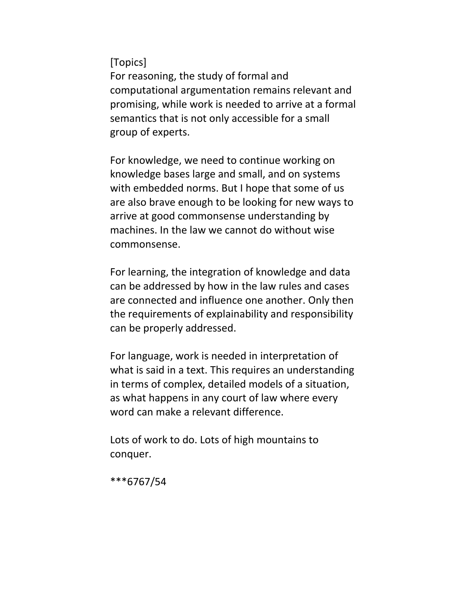[Topics]

For reasoning, the study of formal and computational argumentation remains relevant and promising, while work is needed to arrive at a formal semantics that is not only accessible for a small group of experts.

For knowledge, we need to continue working on knowledge bases large and small, and on systems with embedded norms. But I hope that some of us are also brave enough to be looking for new ways to arrive at good commonsense understanding by machines. In the law we cannot do without wise commonsense.

For learning, the integration of knowledge and data can be addressed by how in the law rules and cases are connected and influence one another. Only then the requirements of explainability and responsibility can be properly addressed.

For language, work is needed in interpretation of what is said in a text. This requires an understanding in terms of complex, detailed models of a situation, as what happens in any court of law where every word can make a relevant difference.

Lots of work to do. Lots of high mountains to conquer.

\*\*\*6767/54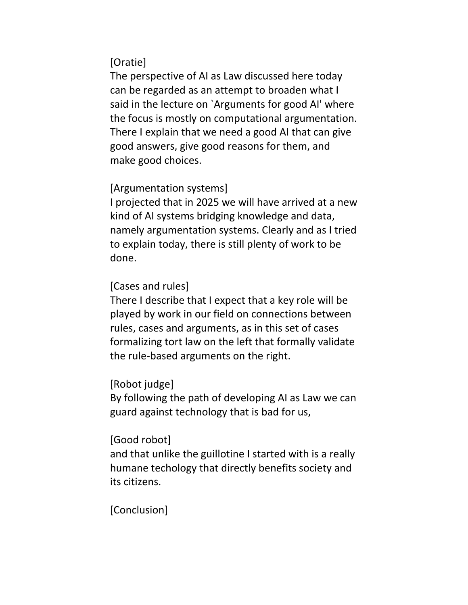# [Oratie]

The perspective of AI as Law discussed here today can be regarded as an attempt to broaden what I said in the lecture on `Arguments for good AI' where the focus is mostly on computational argumentation. There I explain that we need a good AI that can give good answers, give good reasons for them, and make good choices.

## [Argumentation systems]

I projected that in 2025 we will have arrived at a new kind of AI systems bridging knowledge and data, namely argumentation systems. Clearly and as I tried to explain today, there is still plenty of work to be done.

## [Cases and rules]

There I describe that I expect that a key role will be played by work in our field on connections between rules, cases and arguments, as in this set of cases formalizing tort law on the left that formally validate the rule-based arguments on the right.

## [Robot judge]

By following the path of developing AI as Law we can guard against technology that is bad for us,

### [Good robot]

and that unlike the guillotine I started with is a really humane techology that directly benefits society and its citizens.

## [Conclusion]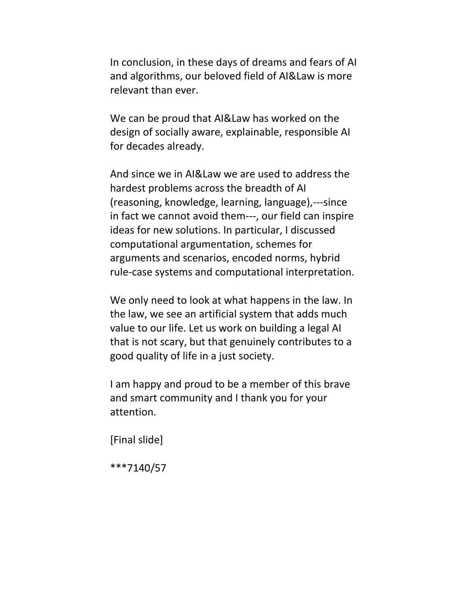In conclusion, in these days of dreams and fears of AI and algorithms, our beloved field of AI&Law is more relevant than ever.

We can be proud that AI&Law has worked on the design of socially aware, explainable, responsible AI for decades already.

And since we in AI&Law we are used to address the hardest problems across the breadth of AI (reasoning, knowledge, learning, language),---since in fact we cannot avoid them---, our field can inspire ideas for new solutions. In particular, I discussed computational argumentation, schemes for arguments and scenarios, encoded norms, hybrid rule-case systems and computational interpretation.

We only need to look at what happens in the law. In the law, we see an artificial system that adds much value to our life. Let us work on building a legal AI that is not scary, but that genuinely contributes to a good quality of life in a just society.

I am happy and proud to be a member of this brave and smart community and I thank you for your attention.

[Final slide]

\*\*\*7140/57